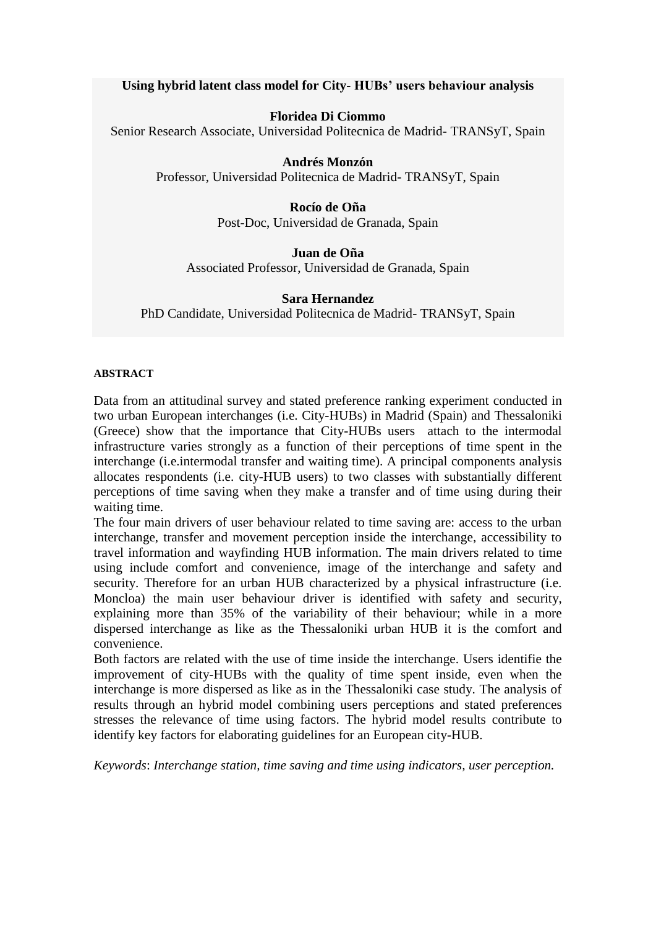**Using hybrid latent class model for City- HUBs' users behaviour analysis**

### **Floridea Di Ciommo**

Senior Research Associate, Universidad Politecnica de Madrid- TRANSyT, Spain

### **Andrés Monzón**

Professor, Universidad Politecnica de Madrid- TRANSyT, Spain

### **Rocío de Oña**

Post-Doc, Universidad de Granada, Spain

### **Juan de Oña**

Associated Professor, Universidad de Granada, Spain

#### **Sara Hernandez**

PhD Candidate, Universidad Politecnica de Madrid- TRANSyT, Spain

#### **ABSTRACT**

Data from an attitudinal survey and stated preference ranking experiment conducted in two urban European interchanges (i.e. City-HUBs) in Madrid (Spain) and Thessaloniki (Greece) show that the importance that City-HUBs users attach to the intermodal infrastructure varies strongly as a function of their perceptions of time spent in the interchange (i.e.intermodal transfer and waiting time). A principal components analysis allocates respondents (i.e. city-HUB users) to two classes with substantially different perceptions of time saving when they make a transfer and of time using during their waiting time.

The four main drivers of user behaviour related to time saving are: access to the urban interchange, transfer and movement perception inside the interchange, accessibility to travel information and wayfinding HUB information. The main drivers related to time using include comfort and convenience, image of the interchange and safety and security. Therefore for an urban HUB characterized by a physical infrastructure (i.e. Moncloa) the main user behaviour driver is identified with safety and security, explaining more than 35% of the variability of their behaviour; while in a more dispersed interchange as like as the Thessaloniki urban HUB it is the comfort and convenience.

Both factors are related with the use of time inside the interchange. Users identifie the improvement of city-HUBs with the quality of time spent inside, even when the interchange is more dispersed as like as in the Thessaloniki case study. The analysis of results through an hybrid model combining users perceptions and stated preferences stresses the relevance of time using factors. The hybrid model results contribute to identify key factors for elaborating guidelines for an European city-HUB.

*Keywords*: *Interchange station, time saving and time using indicators, user perception.*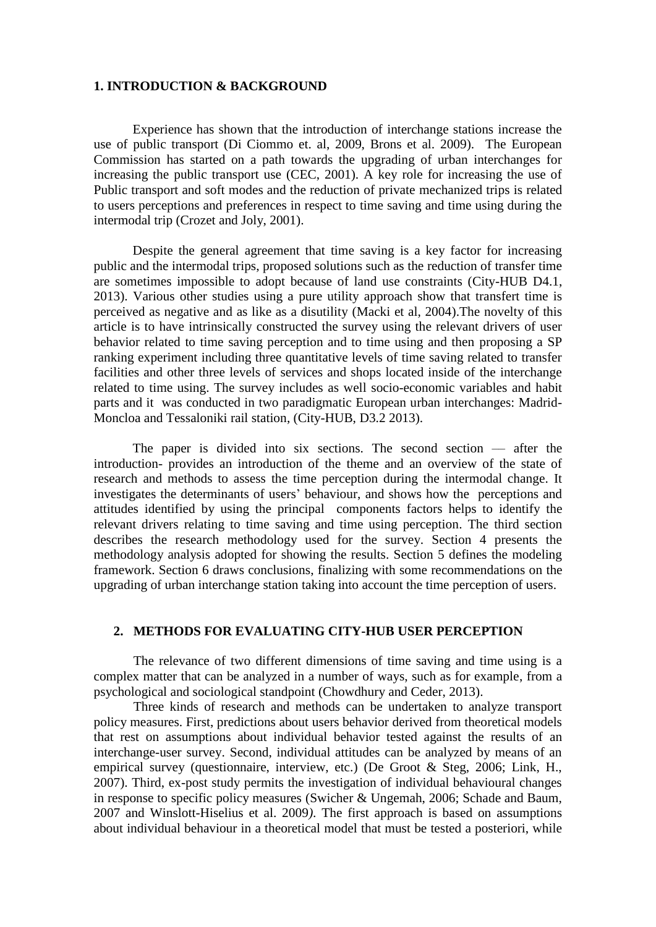#### **1. INTRODUCTION & BACKGROUND**

Experience has shown that the introduction of interchange stations increase the use of public transport (Di Ciommo et. al, 2009, Brons et al. 2009). The European Commission has started on a path towards the upgrading of urban interchanges for increasing the public transport use (CEC, 2001). A key role for increasing the use of Public transport and soft modes and the reduction of private mechanized trips is related to users perceptions and preferences in respect to time saving and time using during the intermodal trip (Crozet and Joly, 2001).

Despite the general agreement that time saving is a key factor for increasing public and the intermodal trips, proposed solutions such as the reduction of transfer time are sometimes impossible to adopt because of land use constraints (City-HUB D4.1, 2013). Various other studies using a pure utility approach show that transfert time is perceived as negative and as like as a disutility (Macki et al, 2004).The novelty of this article is to have intrinsically constructed the survey using the relevant drivers of user behavior related to time saving perception and to time using and then proposing a SP ranking experiment including three quantitative levels of time saving related to transfer facilities and other three levels of services and shops located inside of the interchange related to time using. The survey includes as well socio-economic variables and habit parts and it was conducted in two paradigmatic European urban interchanges: Madrid-Moncloa and Tessaloniki rail station, (City-HUB, D3.2 2013).

The paper is divided into six sections. The second section  $-$  after the introduction- provides an introduction of the theme and an overview of the state of research and methods to assess the time perception during the intermodal change. It investigates the determinants of users' behaviour, and shows how the perceptions and attitudes identified by using the principal components factors helps to identify the relevant drivers relating to time saving and time using perception. The third section describes the research methodology used for the survey. Section 4 presents the methodology analysis adopted for showing the results. Section 5 defines the modeling framework. Section 6 draws conclusions, finalizing with some recommendations on the upgrading of urban interchange station taking into account the time perception of users.

#### **2. METHODS FOR EVALUATING CITY-HUB USER PERCEPTION**

The relevance of two different dimensions of time saving and time using is a complex matter that can be analyzed in a number of ways, such as for example, from a psychological and sociological standpoint (Chowdhury and Ceder, 2013).

Three kinds of research and methods can be undertaken to analyze transport policy measures. First, predictions about users behavior derived from theoretical models that rest on assumptions about individual behavior tested against the results of an interchange-user survey. Second, individual attitudes can be analyzed by means of an empirical survey (questionnaire, interview, etc.) (De Groot & Steg, 2006; Link, H., 2007). Third, ex-post study permits the investigation of individual behavioural changes in response to specific policy measures (Swicher & Ungemah, 2006; Schade and Baum, 2007 and Winslott-Hiselius et al. 2009*)*. The first approach is based on assumptions about individual behaviour in a theoretical model that must be tested a posteriori, while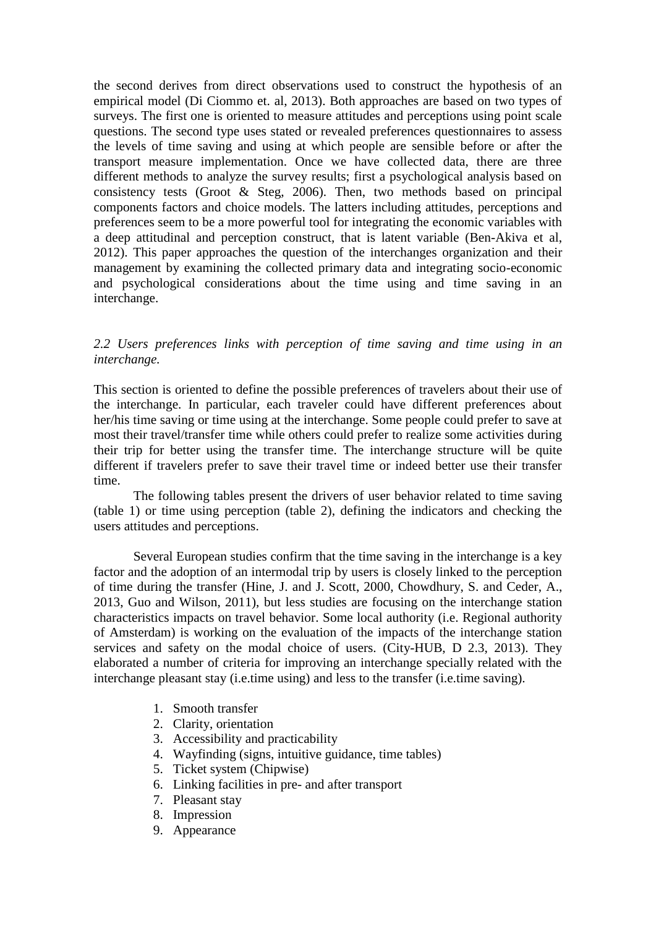the second derives from direct observations used to construct the hypothesis of an empirical model (Di Ciommo et. al, 2013). Both approaches are based on two types of surveys. The first one is oriented to measure attitudes and perceptions using point scale questions. The second type uses stated or revealed preferences questionnaires to assess the levels of time saving and using at which people are sensible before or after the transport measure implementation. Once we have collected data, there are three different methods to analyze the survey results; first a psychological analysis based on consistency tests (Groot & Steg, 2006). Then, two methods based on principal components factors and choice models. The latters including attitudes, perceptions and preferences seem to be a more powerful tool for integrating the economic variables with a deep attitudinal and perception construct, that is latent variable (Ben-Akiva et al, 2012). This paper approaches the question of the interchanges organization and their management by examining the collected primary data and integrating socio-economic and psychological considerations about the time using and time saving in an interchange.

### *2.2 Users preferences links with perception of time saving and time using in an interchange.*

This section is oriented to define the possible preferences of travelers about their use of the interchange. In particular, each traveler could have different preferences about her/his time saving or time using at the interchange. Some people could prefer to save at most their travel/transfer time while others could prefer to realize some activities during their trip for better using the transfer time. The interchange structure will be quite different if travelers prefer to save their travel time or indeed better use their transfer time.

The following tables present the drivers of user behavior related to time saving (table 1) or time using perception (table 2), defining the indicators and checking the users attitudes and perceptions.

Several European studies confirm that the time saving in the interchange is a key factor and the adoption of an intermodal trip by users is closely linked to the perception of time during the transfer (Hine, J. and J. Scott, 2000, Chowdhury, S. and Ceder, A., 2013, Guo and Wilson, 2011), but less studies are focusing on the interchange station characteristics impacts on travel behavior. Some local authority (i.e. Regional authority of Amsterdam) is working on the evaluation of the impacts of the interchange station services and safety on the modal choice of users. (City-HUB, D 2.3, 2013). They elaborated a number of criteria for improving an interchange specially related with the interchange pleasant stay (i.e.time using) and less to the transfer (i.e.time saving).

- 1. Smooth transfer
- 2. Clarity, orientation
- 3. Accessibility and practicability
- 4. Wayfinding (signs, intuitive guidance, time tables)
- 5. Ticket system (Chipwise)
- 6. Linking facilities in pre- and after transport
- 7. Pleasant stay
- 8. Impression
- 9. Appearance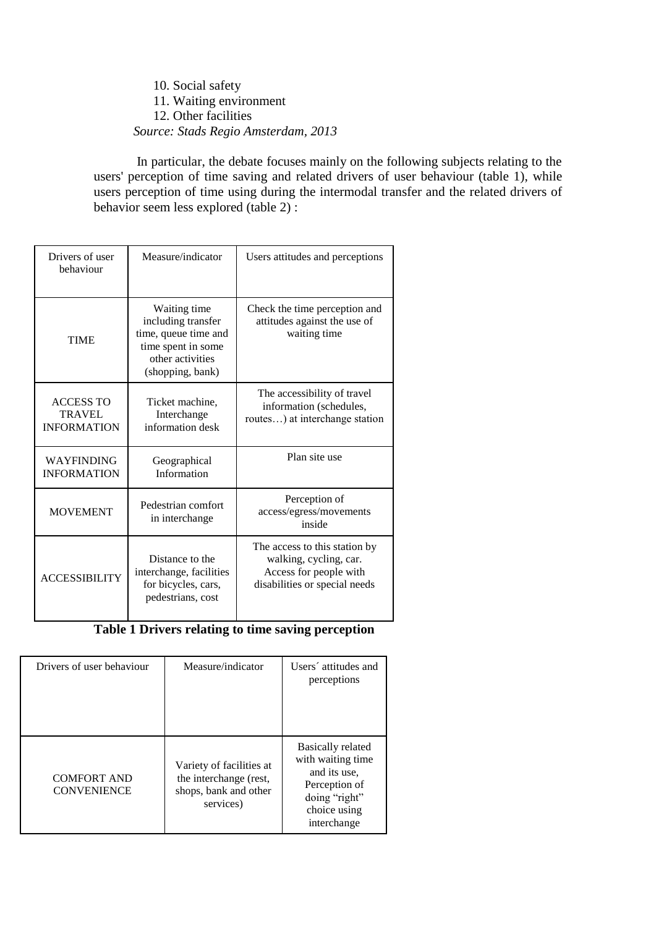10. Social safety 11. Waiting environment 12. Other facilities *Source: Stads Regio Amsterdam, 2013*

In particular, the debate focuses mainly on the following subjects relating to the users' perception of time saving and related drivers of user behaviour (table 1), while users perception of time using during the intermodal transfer and the related drivers of behavior seem less explored (table 2) :

| Drivers of user<br>behaviour                     | Measure/indicator                                                                                                        | Users attitudes and perceptions                                                                                    |
|--------------------------------------------------|--------------------------------------------------------------------------------------------------------------------------|--------------------------------------------------------------------------------------------------------------------|
| <b>TIME</b>                                      | Waiting time<br>including transfer<br>time, queue time and<br>time spent in some<br>other activities<br>(shopping, bank) | Check the time perception and<br>attitudes against the use of<br>waiting time                                      |
| <b>ACCESS TO</b><br>TRAVEL<br><b>INFORMATION</b> | Ticket machine,<br>Interchange<br>information desk                                                                       | The accessibility of travel<br>information (schedules,<br>routes) at interchange station                           |
| <b>WAYFINDING</b><br><b>INFORMATION</b>          | Geographical<br>Information                                                                                              | Plan site use                                                                                                      |
| <b>MOVEMENT</b>                                  | Pedestrian comfort<br>in interchange                                                                                     | Perception of<br>access/egress/movements<br>inside                                                                 |
| <b>ACCESSIBILITY</b>                             | Distance to the<br>interchange, facilities<br>for bicycles, cars,<br>pedestrians, cost                                   | The access to this station by<br>walking, cycling, car.<br>Access for people with<br>disabilities or special needs |

**Table 1 Drivers relating to time saving perception**

| Drivers of user behaviour                | Measure/indicator                                                                        | Users' attitudes and<br>perceptions                                                                                            |
|------------------------------------------|------------------------------------------------------------------------------------------|--------------------------------------------------------------------------------------------------------------------------------|
| <b>COMFORT AND</b><br><b>CONVENIENCE</b> | Variety of facilities at<br>the interchange (rest,<br>shops, bank and other<br>services) | <b>Basically related</b><br>with waiting time<br>and its use.<br>Perception of<br>doing "right"<br>choice using<br>interchange |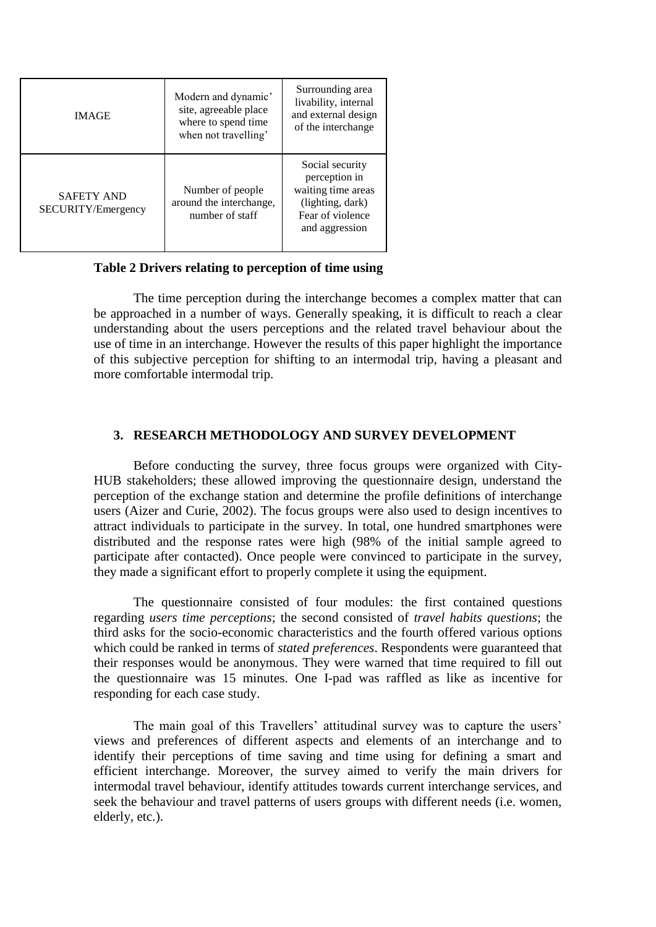| <b>IMAGE</b>                                   | Modern and dynamic'<br>site, agreeable place<br>where to spend time<br>when not travelling' | Surrounding area<br>livability, internal<br>and external design<br>of the interchange                            |
|------------------------------------------------|---------------------------------------------------------------------------------------------|------------------------------------------------------------------------------------------------------------------|
| <b>SAFETY AND</b><br><b>SECURITY/Emergency</b> | Number of people<br>around the interchange,<br>number of staff                              | Social security<br>perception in<br>waiting time areas<br>(lighting, dark)<br>Fear of violence<br>and aggression |

#### **Table 2 Drivers relating to perception of time using**

The time perception during the interchange becomes a complex matter that can be approached in a number of ways. Generally speaking, it is difficult to reach a clear understanding about the users perceptions and the related travel behaviour about the use of time in an interchange. However the results of this paper highlight the importance of this subjective perception for shifting to an intermodal trip, having a pleasant and more comfortable intermodal trip.

## **3. RESEARCH METHODOLOGY AND SURVEY DEVELOPMENT**

Before conducting the survey, three focus groups were organized with City-HUB stakeholders; these allowed improving the questionnaire design, understand the perception of the exchange station and determine the profile definitions of interchange users (Aizer and Curie, 2002). The focus groups were also used to design incentives to attract individuals to participate in the survey. In total, one hundred smartphones were distributed and the response rates were high (98% of the initial sample agreed to participate after contacted). Once people were convinced to participate in the survey, they made a significant effort to properly complete it using the equipment.

The questionnaire consisted of four modules: the first contained questions regarding *users time perceptions*; the second consisted of *travel habits questions*; the third asks for the socio-economic characteristics and the fourth offered various options which could be ranked in terms of *stated preferences*. Respondents were guaranteed that their responses would be anonymous. They were warned that time required to fill out the questionnaire was 15 minutes. One I-pad was raffled as like as incentive for responding for each case study.

The main goal of this Travellers' attitudinal survey was to capture the users' views and preferences of different aspects and elements of an interchange and to identify their perceptions of time saving and time using for defining a smart and efficient interchange. Moreover, the survey aimed to verify the main drivers for intermodal travel behaviour, identify attitudes towards current interchange services, and seek the behaviour and travel patterns of users groups with different needs (i.e. women, elderly, etc.).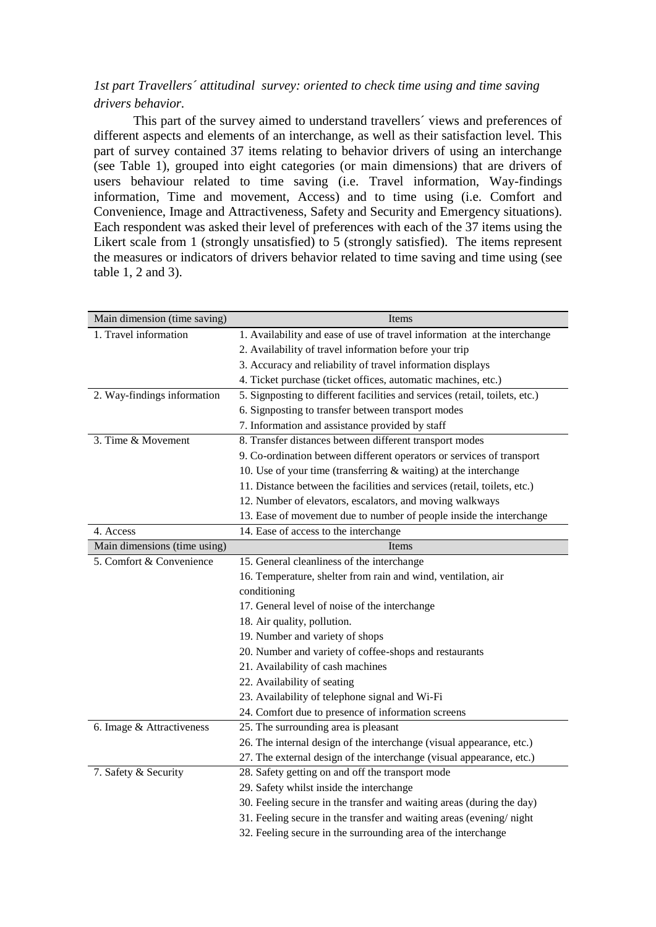# *1st part Travellers´ attitudinal survey: oriented to check time using and time saving drivers behavior.*

This part of the survey aimed to understand travellers´ views and preferences of different aspects and elements of an interchange, as well as their satisfaction level. This part of survey contained 37 items relating to behavior drivers of using an interchange (see Table 1), grouped into eight categories (or main dimensions) that are drivers of users behaviour related to time saving (i.e. Travel information, Way-findings information, Time and movement, Access) and to time using (i.e. Comfort and Convenience, Image and Attractiveness, Safety and Security and Emergency situations). Each respondent was asked their level of preferences with each of the 37 items using the Likert scale from 1 (strongly unsatisfied) to 5 (strongly satisfied). The items represent the measures or indicators of drivers behavior related to time saving and time using (see table 1, 2 and 3).

| Main dimension (time saving) | Items                                                                       |
|------------------------------|-----------------------------------------------------------------------------|
| 1. Travel information        | 1. Availability and ease of use of travel information at the interchange    |
|                              | 2. Availability of travel information before your trip                      |
|                              | 3. Accuracy and reliability of travel information displays                  |
|                              | 4. Ticket purchase (ticket offices, automatic machines, etc.)               |
| 2. Way-findings information  | 5. Signposting to different facilities and services (retail, toilets, etc.) |
|                              | 6. Signposting to transfer between transport modes                          |
|                              | 7. Information and assistance provided by staff                             |
| 3. Time & Movement           | 8. Transfer distances between different transport modes                     |
|                              | 9. Co-ordination between different operators or services of transport       |
|                              | 10. Use of your time (transferring $&$ waiting) at the interchange          |
|                              | 11. Distance between the facilities and services (retail, toilets, etc.)    |
|                              | 12. Number of elevators, escalators, and moving walkways                    |
|                              | 13. Ease of movement due to number of people inside the interchange         |
| 4. Access                    | 14. Ease of access to the interchange                                       |
| Main dimensions (time using) | <b>Items</b>                                                                |
| 5. Comfort & Convenience     | 15. General cleanliness of the interchange                                  |
|                              | 16. Temperature, shelter from rain and wind, ventilation, air               |
|                              | conditioning                                                                |
|                              | 17. General level of noise of the interchange                               |
|                              | 18. Air quality, pollution.                                                 |
|                              | 19. Number and variety of shops                                             |
|                              | 20. Number and variety of coffee-shops and restaurants                      |
|                              | 21. Availability of cash machines                                           |
|                              | 22. Availability of seating                                                 |
|                              | 23. Availability of telephone signal and Wi-Fi                              |
|                              | 24. Comfort due to presence of information screens                          |
| 6. Image & Attractiveness    | 25. The surrounding area is pleasant                                        |
|                              | 26. The internal design of the interchange (visual appearance, etc.)        |
|                              | 27. The external design of the interchange (visual appearance, etc.)        |
| 7. Safety & Security         | 28. Safety getting on and off the transport mode                            |
|                              | 29. Safety whilst inside the interchange                                    |
|                              | 30. Feeling secure in the transfer and waiting areas (during the day)       |
|                              | 31. Feeling secure in the transfer and waiting areas (evening/night         |
|                              | 32. Feeling secure in the surrounding area of the interchange               |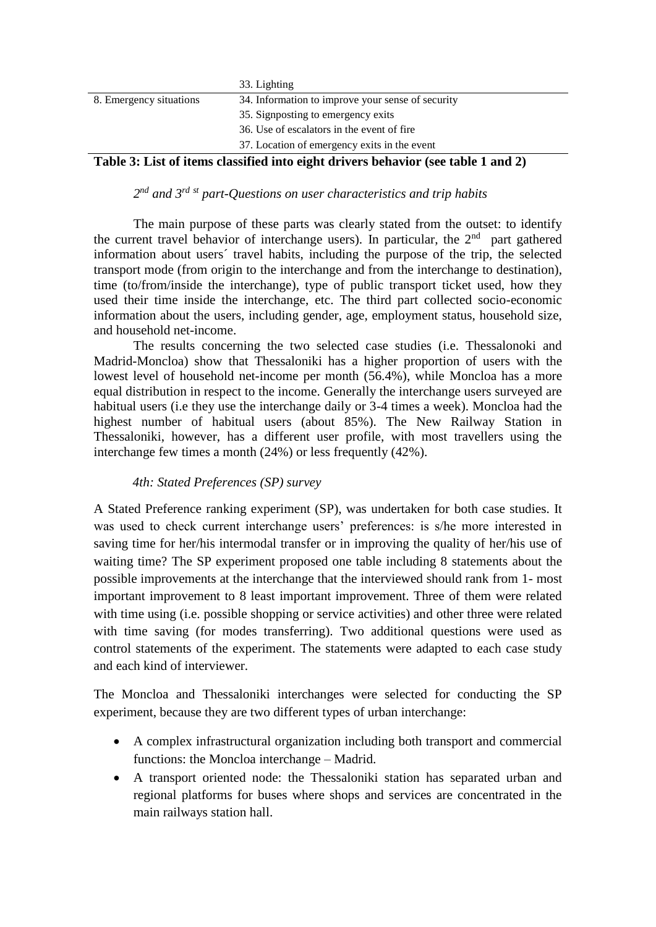| $\sim$ $\sim$ $\sim$    |                                                   |
|-------------------------|---------------------------------------------------|
|                         | 37. Location of emergency exits in the event      |
|                         | 36. Use of escalators in the event of fire        |
|                         | 35. Signposting to emergency exits                |
| 8. Emergency situations | 34. Information to improve your sense of security |
|                         | 33. Lighting                                      |

### **Table 3: List of items classified into eight drivers behavior (see table 1 and 2)**

*2 nd and 3rd st part-Questions on user characteristics and trip habits*

The main purpose of these parts was clearly stated from the outset: to identify the current travel behavior of interchange users). In particular, the  $2<sup>nd</sup>$  part gathered information about users´ travel habits, including the purpose of the trip, the selected transport mode (from origin to the interchange and from the interchange to destination), time (to/from/inside the interchange), type of public transport ticket used, how they used their time inside the interchange, etc. The third part collected socio-economic information about the users, including gender, age, employment status, household size, and household net-income.

The results concerning the two selected case studies (i.e. Thessalonoki and Madrid-Moncloa) show that Thessaloniki has a higher proportion of users with the lowest level of household net-income per month (56.4%), while Moncloa has a more equal distribution in respect to the income. Generally the interchange users surveyed are habitual users (i.e they use the interchange daily or 3-4 times a week). Moncloa had the highest number of habitual users (about 85%). The New Railway Station in Thessaloniki, however, has a different user profile, with most travellers using the interchange few times a month (24%) or less frequently (42%).

# *4th: Stated Preferences (SP) survey*

A Stated Preference ranking experiment (SP), was undertaken for both case studies. It was used to check current interchange users' preferences: is s/he more interested in saving time for her/his intermodal transfer or in improving the quality of her/his use of waiting time? The SP experiment proposed one table including 8 statements about the possible improvements at the interchange that the interviewed should rank from 1- most important improvement to 8 least important improvement. Three of them were related with time using (i.e. possible shopping or service activities) and other three were related with time saving (for modes transferring). Two additional questions were used as control statements of the experiment. The statements were adapted to each case study and each kind of interviewer.

The Moncloa and Thessaloniki interchanges were selected for conducting the SP experiment, because they are two different types of urban interchange:

- A complex infrastructural organization including both transport and commercial functions: the Moncloa interchange – Madrid.
- A transport oriented node: the Thessaloniki station has separated urban and regional platforms for buses where shops and services are concentrated in the main railways station hall.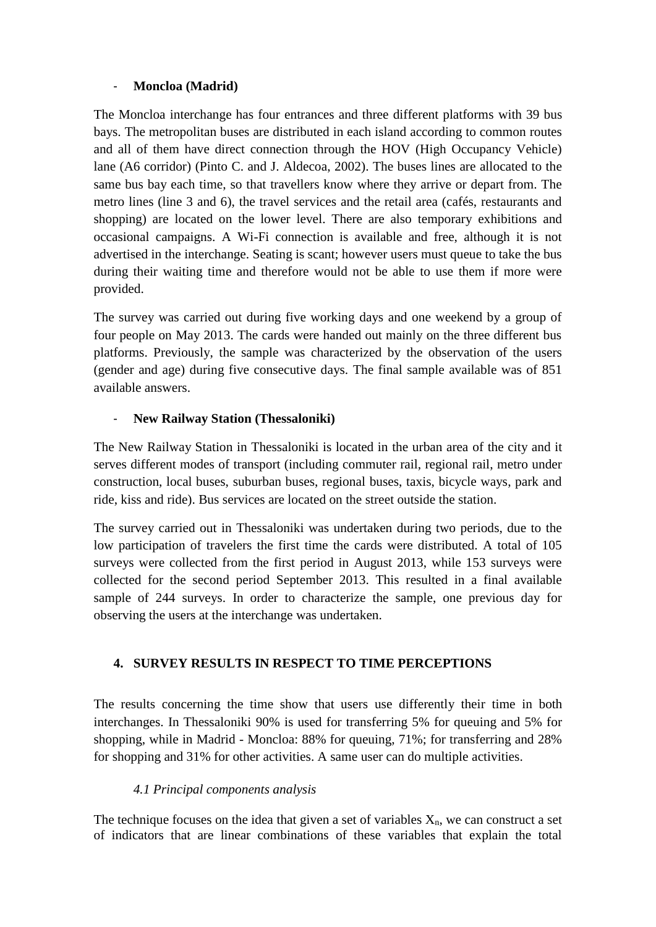# - **Moncloa (Madrid)**

The Moncloa interchange has four entrances and three different platforms with 39 bus bays. The metropolitan buses are distributed in each island according to common routes and all of them have direct connection through the HOV (High Occupancy Vehicle) lane (A6 corridor) (Pinto C. and J. Aldecoa, 2002). The buses lines are allocated to the same bus bay each time, so that travellers know where they arrive or depart from. The metro lines (line 3 and 6), the travel services and the retail area (cafés, restaurants and shopping) are located on the lower level. There are also temporary exhibitions and occasional campaigns. A Wi-Fi connection is available and free, although it is not advertised in the interchange. Seating is scant; however users must queue to take the bus during their waiting time and therefore would not be able to use them if more were provided.

The survey was carried out during five working days and one weekend by a group of four people on May 2013. The cards were handed out mainly on the three different bus platforms. Previously, the sample was characterized by the observation of the users (gender and age) during five consecutive days. The final sample available was of 851 available answers.

# - **New Railway Station (Thessaloniki)**

The New Railway Station in Thessaloniki is located in the urban area of the city and it serves different modes of transport (including commuter rail, regional rail, metro under construction, local buses, suburban buses, regional buses, taxis, bicycle ways, park and ride, kiss and ride). Bus services are located on the street outside the station.

The survey carried out in Thessaloniki was undertaken during two periods, due to the low participation of travelers the first time the cards were distributed. A total of 105 surveys were collected from the first period in August 2013, while 153 surveys were collected for the second period September 2013. This resulted in a final available sample of 244 surveys. In order to characterize the sample, one previous day for observing the users at the interchange was undertaken.

# **4. SURVEY RESULTS IN RESPECT TO TIME PERCEPTIONS**

The results concerning the time show that users use differently their time in both interchanges. In Thessaloniki 90% is used for transferring 5% for queuing and 5% for shopping, while in Madrid - Moncloa: 88% for queuing, 71%; for transferring and 28% for shopping and 31% for other activities. A same user can do multiple activities.

# *4.1 Principal components analysis*

The technique focuses on the idea that given a set of variables  $X_n$ , we can construct a set of indicators that are linear combinations of these variables that explain the total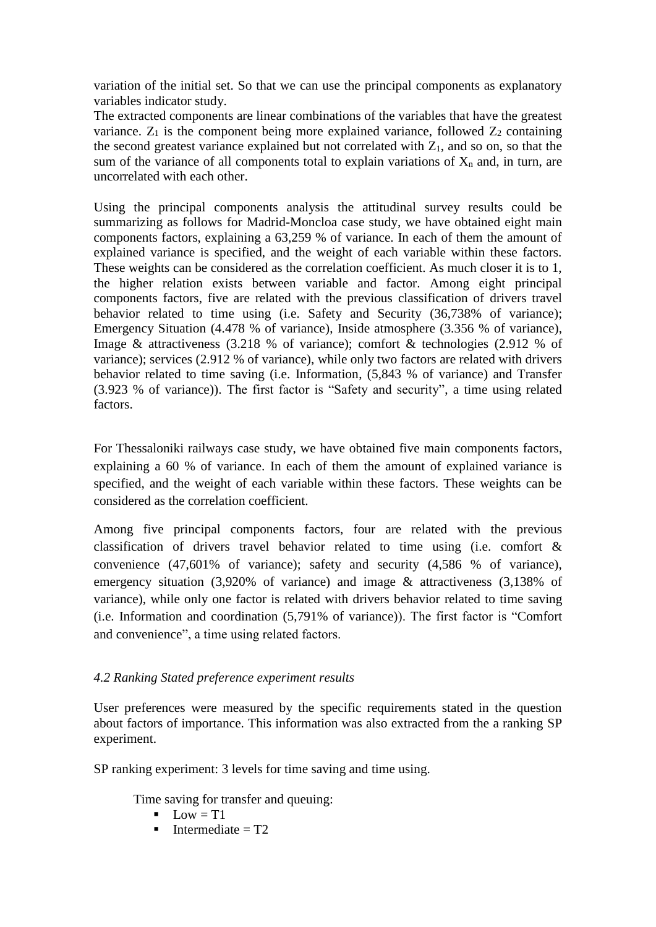variation of the initial set. So that we can use the principal components as explanatory variables indicator study.

The extracted components are linear combinations of the variables that have the greatest variance.  $Z_1$  is the component being more explained variance, followed  $Z_2$  containing the second greatest variance explained but not correlated with  $Z_1$ , and so on, so that the sum of the variance of all components total to explain variations of  $X_n$  and, in turn, are uncorrelated with each other.

Using the principal components analysis the attitudinal survey results could be summarizing as follows for Madrid-Moncloa case study, we have obtained eight main components factors, explaining a 63,259 % of variance. In each of them the amount of explained variance is specified, and the weight of each variable within these factors. These weights can be considered as the correlation coefficient. As much closer it is to 1, the higher relation exists between variable and factor. Among eight principal components factors, five are related with the previous classification of drivers travel behavior related to time using (i.e. Safety and Security (36,738% of variance); Emergency Situation (4.478 % of variance), Inside atmosphere (3.356 % of variance), Image & attractiveness (3.218 % of variance); comfort & technologies (2.912 % of variance); services (2.912 % of variance), while only two factors are related with drivers behavior related to time saving (i.e. Information, (5,843 % of variance) and Transfer (3.923 % of variance)). The first factor is "Safety and security", a time using related factors.

For Thessaloniki railways case study, we have obtained five main components factors, explaining a 60 % of variance. In each of them the amount of explained variance is specified, and the weight of each variable within these factors. These weights can be considered as the correlation coefficient.

Among five principal components factors, four are related with the previous classification of drivers travel behavior related to time using (i.e. comfort & convenience (47,601% of variance); safety and security (4,586 % of variance), emergency situation (3,920% of variance) and image & attractiveness (3,138% of variance), while only one factor is related with drivers behavior related to time saving (i.e. Information and coordination (5,791% of variance)). The first factor is "Comfort and convenience", a time using related factors.

# *4.2 Ranking Stated preference experiment results*

User preferences were measured by the specific requirements stated in the question about factors of importance. This information was also extracted from the a ranking SP experiment.

SP ranking experiment: 3 levels for time saving and time using.

Time saving for transfer and queuing:

- $\blacksquare$  Low = T1
- Intermediate  $= T2$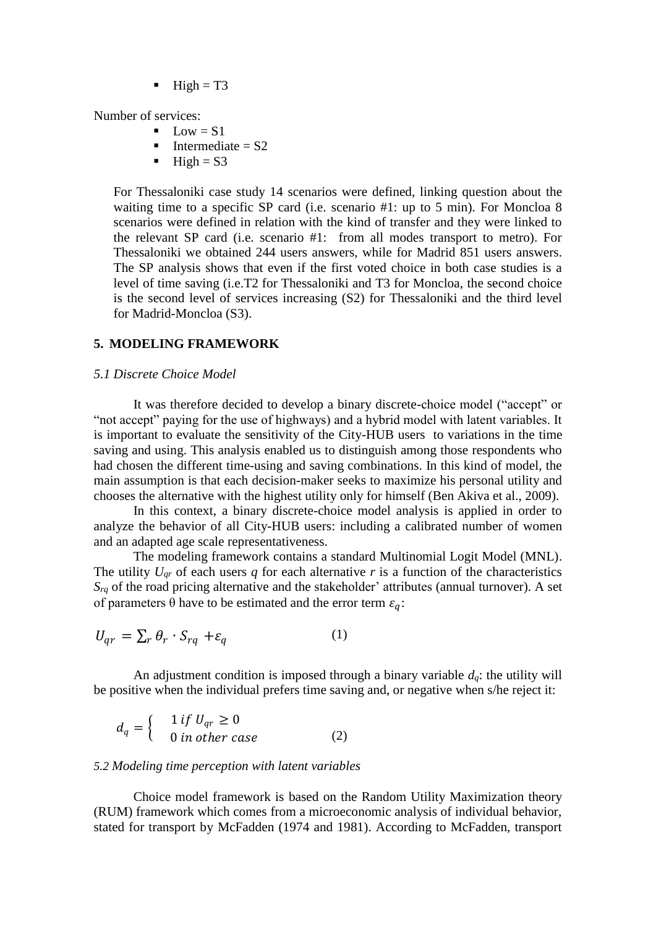$-High = T3$ 

Number of services:

- $\blacksquare$  Low = S1
	- $\blacksquare$  Intermediate = S2
	- $-High = S3$

For Thessaloniki case study 14 scenarios were defined, linking question about the waiting time to a specific SP card (i.e. scenario #1: up to 5 min). For Moncloa 8 scenarios were defined in relation with the kind of transfer and they were linked to the relevant SP card (i.e. scenario #1: from all modes transport to metro). For Thessaloniki we obtained 244 users answers, while for Madrid 851 users answers. The SP analysis shows that even if the first voted choice in both case studies is a level of time saving (i.e.T2 for Thessaloniki and T3 for Moncloa, the second choice is the second level of services increasing (S2) for Thessaloniki and the third level for Madrid-Moncloa (S3).

### **5. MODELING FRAMEWORK**

#### *5.1 Discrete Choice Model*

It was therefore decided to develop a binary discrete-choice model ("accept" or "not accept" paying for the use of highways) and a hybrid model with latent variables. It is important to evaluate the sensitivity of the City-HUB users to variations in the time saving and using. This analysis enabled us to distinguish among those respondents who had chosen the different time-using and saving combinations. In this kind of model, the main assumption is that each decision-maker seeks to maximize his personal utility and chooses the alternative with the highest utility only for himself (Ben Akiva et al., 2009).

In this context, a binary discrete-choice model analysis is applied in order to analyze the behavior of all City-HUB users: including a calibrated number of women and an adapted age scale representativeness.

The modeling framework contains a standard Multinomial Logit Model (MNL). The utility  $U_{qr}$  of each users *q* for each alternative *r* is a function of the characteristics *Srq* of the road pricing alternative and the stakeholder' attributes (annual turnover). A set of parameters  $\theta$  have to be estimated and the error term  $\varepsilon_a$ :

$$
U_{qr} = \sum_{r} \theta_r \cdot S_{rq} + \varepsilon_q \tag{1}
$$

An adjustment condition is imposed through a binary variable  $d<sub>a</sub>$ : the utility will be positive when the individual prefers time saving and, or negative when s/he reject it:

$$
d_q = \begin{cases} 1 & \text{if } U_{qr} \ge 0 \\ 0 & \text{in other case} \end{cases}
$$
 (2)

#### *5.2 Modeling time perception with latent variables*

Choice model framework is based on the Random Utility Maximization theory (RUM) framework which comes from a microeconomic analysis of individual behavior, stated for transport by McFadden (1974 and 1981). According to McFadden, transport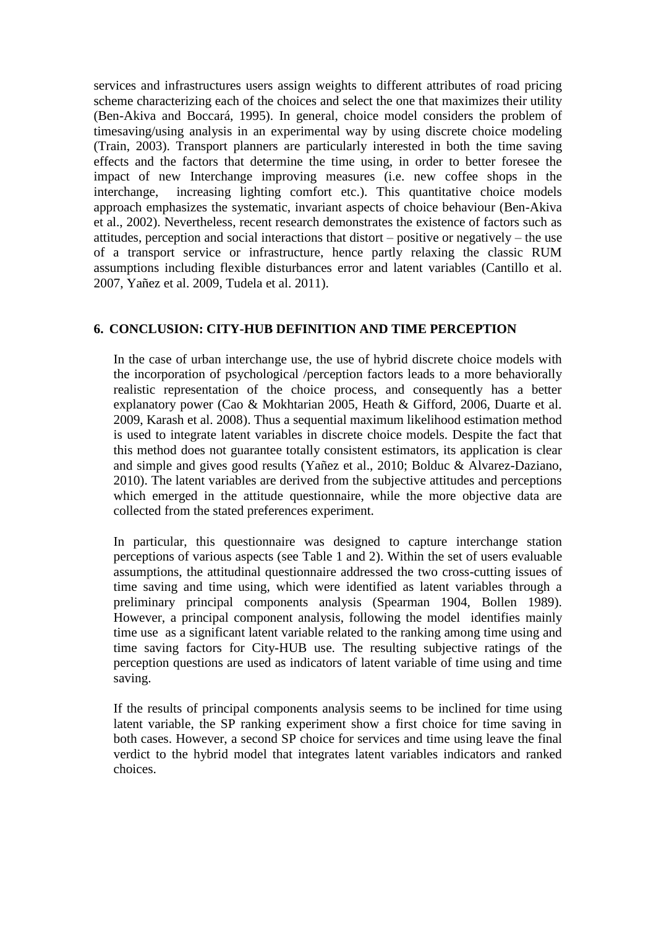services and infrastructures users assign weights to different attributes of road pricing scheme characterizing each of the choices and select the one that maximizes their utility (Ben-Akiva and Boccará, 1995). In general, choice model considers the problem of timesaving/using analysis in an experimental way by using discrete choice modeling (Train, 2003). Transport planners are particularly interested in both the time saving effects and the factors that determine the time using, in order to better foresee the impact of new Interchange improving measures (i.e. new coffee shops in the interchange, increasing lighting comfort etc.). This quantitative choice models approach emphasizes the systematic, invariant aspects of choice behaviour (Ben-Akiva et al., 2002). Nevertheless, recent research demonstrates the existence of factors such as attitudes, perception and social interactions that distort – positive or negatively – the use of a transport service or infrastructure, hence partly relaxing the classic RUM assumptions including flexible disturbances error and latent variables (Cantillo et al. 2007, Yañez et al. 2009, Tudela et al. 2011).

## **6. CONCLUSION: CITY-HUB DEFINITION AND TIME PERCEPTION**

In the case of urban interchange use, the use of hybrid discrete choice models with the incorporation of psychological /perception factors leads to a more behaviorally realistic representation of the choice process, and consequently has a better explanatory power (Cao & Mokhtarian 2005, Heath & Gifford, 2006, Duarte et al. 2009, Karash et al. 2008). Thus a sequential maximum likelihood estimation method is used to integrate latent variables in discrete choice models. Despite the fact that this method does not guarantee totally consistent estimators, its application is clear and simple and gives good results (Yañez et al., 2010; Bolduc & Alvarez-Daziano, 2010). The latent variables are derived from the subjective attitudes and perceptions which emerged in the attitude questionnaire, while the more objective data are collected from the stated preferences experiment.

In particular, this questionnaire was designed to capture interchange station perceptions of various aspects (see Table 1 and 2). Within the set of users evaluable assumptions, the attitudinal questionnaire addressed the two cross-cutting issues of time saving and time using, which were identified as latent variables through a preliminary principal components analysis (Spearman 1904, Bollen 1989). However, a principal component analysis, following the model identifies mainly time use as a significant latent variable related to the ranking among time using and time saving factors for City-HUB use. The resulting subjective ratings of the perception questions are used as indicators of latent variable of time using and time saving.

If the results of principal components analysis seems to be inclined for time using latent variable, the SP ranking experiment show a first choice for time saving in both cases. However, a second SP choice for services and time using leave the final verdict to the hybrid model that integrates latent variables indicators and ranked choices.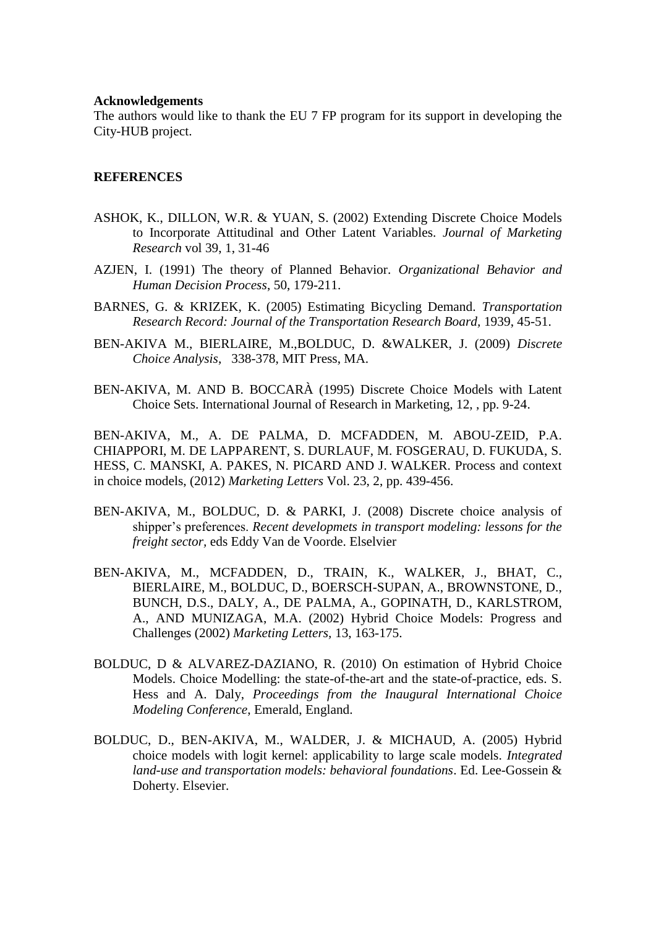#### **Acknowledgements**

The authors would like to thank the EU 7 FP program for its support in developing the City-HUB project.

### **REFERENCES**

- ASHOK, K., DILLON, W.R. & YUAN, S. (2002) Extending Discrete Choice Models to Incorporate Attitudinal and Other Latent Variables. *Journal of Marketing Research* vol 39, 1, 31-46
- AZJEN, I. (1991) The theory of Planned Behavior. *Organizational Behavior and Human Decision Process*, 50, 179-211.
- BARNES, G. & KRIZEK, K. (2005) Estimating Bicycling Demand. *Transportation Research Record: Journal of the Transportation Research Board,* 1939, 45-51.
- BEN-AKIVA M., BIERLAIRE, M.,BOLDUC, D. &WALKER, J. (2009) *Discrete Choice Analysis*, 338-378, MIT Press, MA.
- BEN-AKIVA, M. AND B. BOCCARÀ (1995) Discrete Choice Models with Latent Choice Sets. International Journal of Research in Marketing, 12, , pp. 9-24.

BEN-AKIVA, M., A. DE PALMA, D. MCFADDEN, M. ABOU-ZEID, P.A. CHIAPPORI, M. DE LAPPARENT, S. DURLAUF, M. FOSGERAU, D. FUKUDA, S. HESS, C. MANSKI, A. PAKES, N. PICARD AND J. WALKER. Process and context in choice models, (2012) *Marketing Letters* Vol. 23, 2, pp. 439-456.

- BEN-AKIVA, M., BOLDUC, D. & PARKI, J. (2008) Discrete choice analysis of shipper's preferences. *Recent developmets in transport modeling: lessons for the freight sector,* eds Eddy Van de Voorde. Elselvier
- BEN-AKIVA, M., MCFADDEN, D., TRAIN, K., WALKER, J., BHAT, C., BIERLAIRE, M., BOLDUC, D., BOERSCH-SUPAN, A., BROWNSTONE, D., BUNCH, D.S., DALY, A., DE PALMA, A., GOPINATH, D., KARLSTROM, A., AND MUNIZAGA, M.A. (2002) Hybrid Choice Models: Progress and Challenges (2002) *Marketing Letters,* 13, 163-175.
- BOLDUC, D & ALVAREZ-DAZIANO, R. (2010) On estimation of Hybrid Choice Models. Choice Modelling: the state-of-the-art and the state-of-practice, eds. S. Hess and A. Daly, *Proceedings from the Inaugural International Choice Modeling Conference*, Emerald, England.
- BOLDUC, D., BEN-AKIVA, M., WALDER, J. & MICHAUD, A. (2005) Hybrid choice models with logit kernel: applicability to large scale models. *Integrated land-use and transportation models: behavioral foundations*. Ed. Lee-Gossein & Doherty. Elsevier.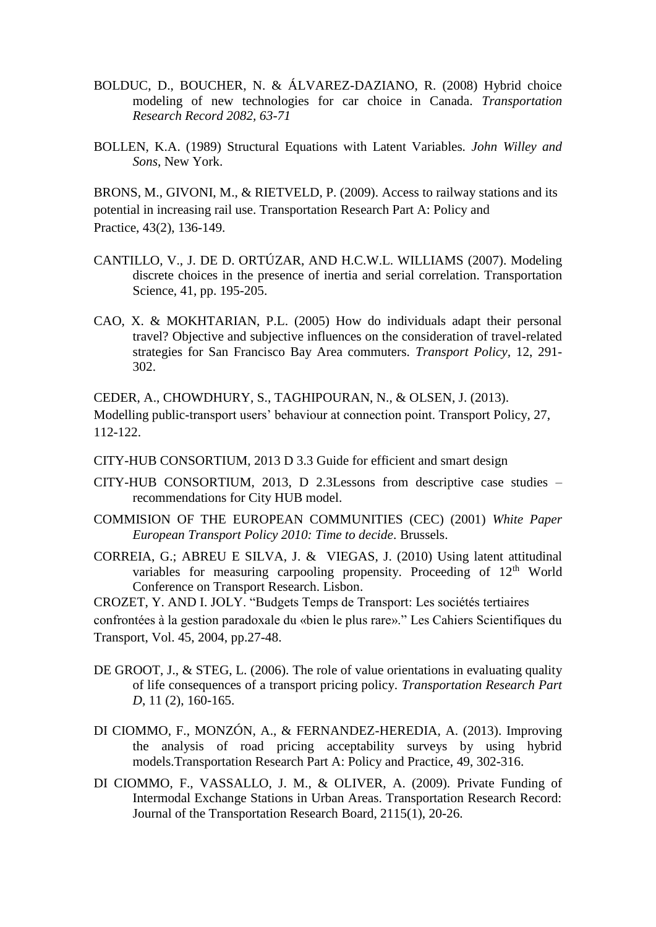- BOLDUC, D., BOUCHER, N. & ÁLVAREZ-DAZIANO, R. (2008) Hybrid choice modeling of new technologies for car choice in Canada. *Transportation Research Record 2082, 63-71*
- BOLLEN, K.A. (1989) Structural Equations with Latent Variables*. John Willey and Sons*, New York.

BRONS, M., GIVONI, M., & RIETVELD, P. (2009). Access to railway stations and its potential in increasing rail use. Transportation Research Part A: Policy and Practice, 43(2), 136-149.

- CANTILLO, V., J. DE D. ORTÚZAR, AND H.C.W.L. WILLIAMS (2007). Modeling discrete choices in the presence of inertia and serial correlation. Transportation Science, 41, pp. 195-205.
- CAO, X. & MOKHTARIAN, P.L. (2005) How do individuals adapt their personal travel? Objective and subjective influences on the consideration of travel-related strategies for San Francisco Bay Area commuters. *Transport Policy,* 12, 291- 302.

CEDER, A., CHOWDHURY, S., TAGHIPOURAN, N., & OLSEN, J. (2013). Modelling public-transport users' behaviour at connection point. Transport Policy, 27, 112-122.

CITY-HUB CONSORTIUM, 2013 D 3.3 Guide for efficient and smart design

- CITY-HUB CONSORTIUM, 2013, D 2.3Lessons from descriptive case studies recommendations for City HUB model.
- COMMISION OF THE EUROPEAN COMMUNITIES (CEC) (2001) *White Paper European Transport Policy 2010: Time to decide*. Brussels.
- CORREIA, G.; ABREU E SILVA, J. & VIEGAS, J. (2010) Using latent attitudinal variables for measuring carpooling propensity. Proceeding of  $12<sup>th</sup>$  World Conference on Transport Research. Lisbon.

CROZET, Y. AND I. JOLY. "Budgets Temps de Transport: Les sociétés tertiaires confrontées à la gestion paradoxale du «bien le plus rare»." Les Cahiers Scientifiques du Transport, Vol. 45, 2004, pp.27-48.

- DE GROOT, J., & STEG, L. (2006). The role of value orientations in evaluating quality of life consequences of a transport pricing policy. *Transportation Research Part D*, 11 (2), 160-165.
- DI CIOMMO, F., MONZÓN, A., & FERNANDEZ-HEREDIA, A. (2013). Improving the analysis of road pricing acceptability surveys by using hybrid models.Transportation Research Part A: Policy and Practice, 49, 302-316.
- DI CIOMMO, F., VASSALLO, J. M., & OLIVER, A. (2009). Private Funding of Intermodal Exchange Stations in Urban Areas. Transportation Research Record: Journal of the Transportation Research Board, 2115(1), 20-26.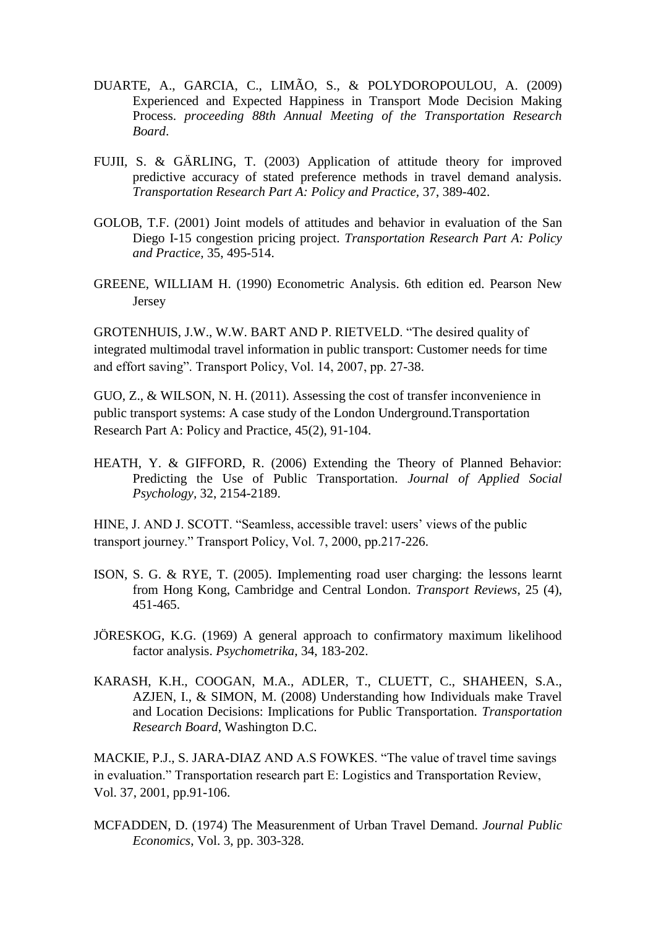- DUARTE, A., GARCIA, C., LIMÃO, S., & POLYDOROPOULOU, A. (2009) Experienced and Expected Happiness in Transport Mode Decision Making Process. *proceeding 88th Annual Meeting of the Transportation Research Board*.
- FUJII, S. & GÄRLING, T. (2003) Application of attitude theory for improved predictive accuracy of stated preference methods in travel demand analysis. *Transportation Research Part A: Policy and Practice,* 37, 389-402.
- GOLOB, T.F. (2001) Joint models of attitudes and behavior in evaluation of the San Diego I-15 congestion pricing project. *Transportation Research Part A: Policy and Practice,* 35, 495-514.
- GREENE, WILLIAM H. (1990) Econometric Analysis. 6th edition ed. Pearson New Jersey

GROTENHUIS, J.W., W.W. BART AND P. RIETVELD. "The desired quality of integrated multimodal travel information in public transport: Customer needs for time and effort saving". Transport Policy, Vol. 14, 2007, pp. 27-38.

GUO, Z., & WILSON, N. H. (2011). Assessing the cost of transfer inconvenience in public transport systems: A case study of the London Underground.Transportation Research Part A: Policy and Practice, 45(2), 91-104.

HEATH, Y. & GIFFORD, R. (2006) Extending the Theory of Planned Behavior: Predicting the Use of Public Transportation. *Journal of Applied Social Psychology,* 32, 2154-2189.

HINE, J. AND J. SCOTT. "Seamless, accessible travel: users' views of the public transport journey." Transport Policy, Vol. 7, 2000, pp.217-226.

- ISON, S. G. & RYE, T. (2005). Implementing road user charging: the lessons learnt from Hong Kong, Cambridge and Central London. *Transport Reviews*, 25 (4), 451-465.
- JÖRESKOG, K.G. (1969) A general approach to confirmatory maximum likelihood factor analysis. *Psychometrika,* 34, 183-202.
- KARASH, K.H., COOGAN, M.A., ADLER, T., CLUETT, C., SHAHEEN, S.A., AZJEN, I., & SIMON, M. (2008) Understanding how Individuals make Travel and Location Decisions: Implications for Public Transportation*. Transportation Research Board*, Washington D.C.

MACKIE, P.J., S. JARA-DIAZ AND A.S FOWKES. "The value of travel time savings in evaluation." Transportation research part E: Logistics and Transportation Review, Vol. 37, 2001, pp.91-106.

MCFADDEN, D. (1974) The Measurenment of Urban Travel Demand. *Journal Public Economics*, Vol. 3, pp. 303-328.